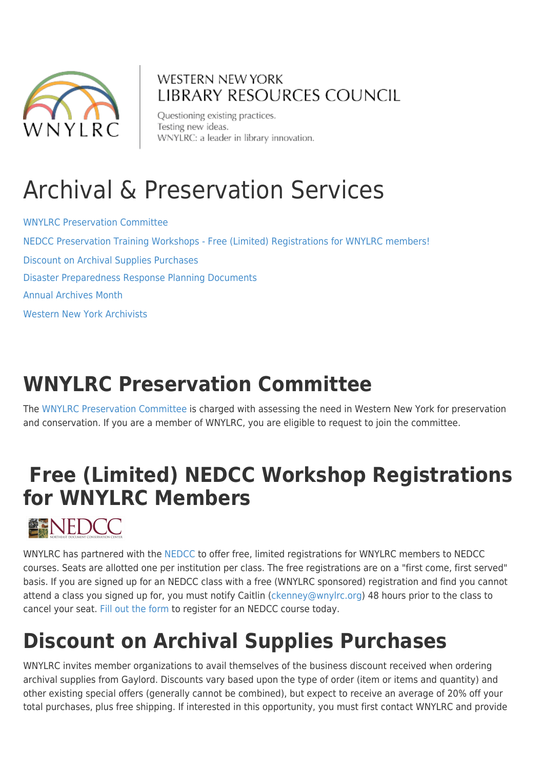

#### **WESTERN NEW YORK LIBRARY RESOURCES COUNCIL**

Questioning existing practices. Testing new ideas. WNYLRC: a leader in library innovation.

# Archival & Preservation Services

[WNYLRC Preservation Committee](#page--1-0) [NEDCC Preservation Training Workshops - Free \(Limited\) Registrations for WNYLRC members!](http://www.wnylrc.org/professional-development) [Discount on Archival Supplies Purchases](#page--1-0) [Disaster Preparedness Response Planning Documents](#page--1-0) [Annual Archives Month](#page--1-0) [Western New York Archivists](#page--1-0)

## **WNYLRC Preservation Committee**

The [WNYLRC Preservation Committee](http://www.wnylrc.org/preservation-committee) is charged with assessing the need in Western New York for preservation and conservation. If you are a member of WNYLRC, you are eligible to request to join the committee.

## **Free (Limited) NEDCC Workshop Registrations for WNYLRC Members**



WNYLRC has partnered with the [NEDCC](https://www.nedcc.org/) to offer free, limited registrations for WNYLRC members to NEDCC courses. Seats are allotted one per institution per class. The free registrations are on a "first come, first served" basis. If you are signed up for an NEDCC class with a free (WNYLRC sponsored) registration and find you cannot attend a class you signed up for, you must notify Caitlin [\(ckenney@wnylrc.org](mailto:ckenney@wnylrc.org)) 48 hours prior to the class to cancel your seat. [Fill out the form](https://www.signupgenius.com/go/20F0F48A9A82BAAFA7-wnylrc2) to register for an NEDCC course today.

## **Discount on Archival Supplies Purchases**

WNYLRC invites member organizations to avail themselves of the business discount received when ordering archival supplies from Gaylord. Discounts vary based upon the type of order (item or items and quantity) and other existing special offers (generally cannot be combined), but expect to receive an average of 20% off your total purchases, plus free shipping. If interested in this opportunity, you must first contact WNYLRC and provide